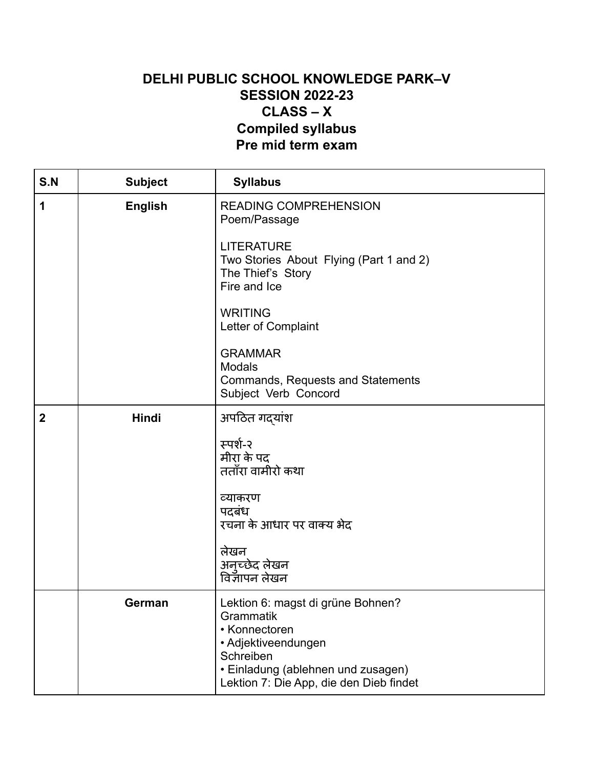## **DELHI PUBLIC SCHOOL KNOWLEDGE PARK–V SESSION 2022-23 CLASS – X Compiled syllabus Pre mid term exam**

| S.N              | <b>Subject</b> | <b>Syllabus</b>                                                                                                                                                                      |
|------------------|----------------|--------------------------------------------------------------------------------------------------------------------------------------------------------------------------------------|
| 1                | <b>English</b> | <b>READING COMPREHENSION</b><br>Poem/Passage                                                                                                                                         |
|                  |                | <b>LITERATURE</b><br>Two Stories About Flying (Part 1 and 2)<br>The Thief's Story<br>Fire and Ice                                                                                    |
|                  |                | <b>WRITING</b><br>Letter of Complaint                                                                                                                                                |
|                  |                | <b>GRAMMAR</b><br><b>Modals</b><br>Commands, Requests and Statements<br>Subject Verb Concord                                                                                         |
| $\boldsymbol{2}$ | Hindi          | अपठित गदयांश                                                                                                                                                                         |
|                  |                | स्पर्श-२<br>मीरा के पद<br>तताँरा वामीरो कथा                                                                                                                                          |
|                  |                | व्याकरण<br>पदबंध<br>रचना के आधार पर वाक्य भेद                                                                                                                                        |
|                  |                | लेखन<br>अनच्छेद लेखन<br>विज्ञापन लेखन                                                                                                                                                |
|                  | German         | Lektion 6: magst di grüne Bohnen?<br>Grammatik<br>• Konnectoren<br>• Adjektiveendungen<br>Schreiben<br>• Einladung (ablehnen und zusagen)<br>Lektion 7: Die App, die den Dieb findet |